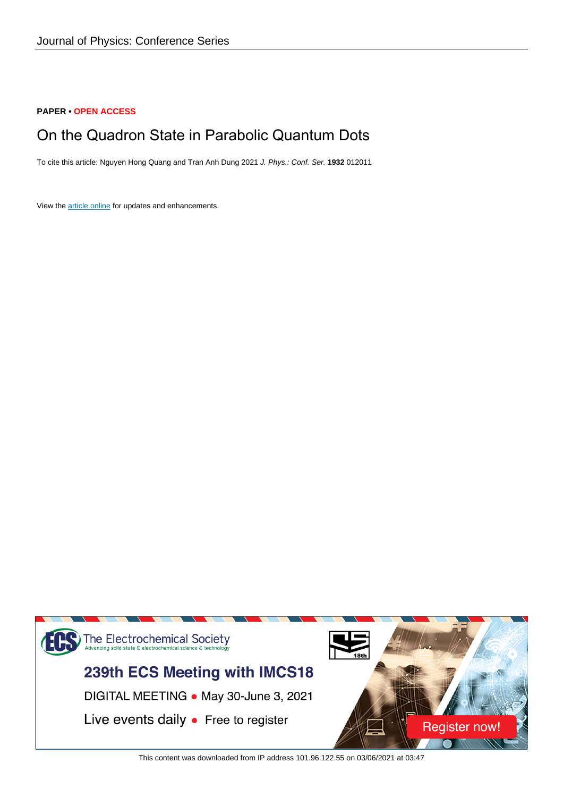## **PAPER • OPEN ACCESS**

# On the Quadron State in Parabolic Quantum Dots

To cite this article: Nguyen Hong Quang and Tran Anh Dung 2021 J. Phys.: Conf. Ser. **1932** 012011

View the [article online](https://doi.org/10.1088/1742-6596/1932/1/012011) for updates and enhancements.



This content was downloaded from IP address 101.96.122.55 on 03/06/2021 at 03:47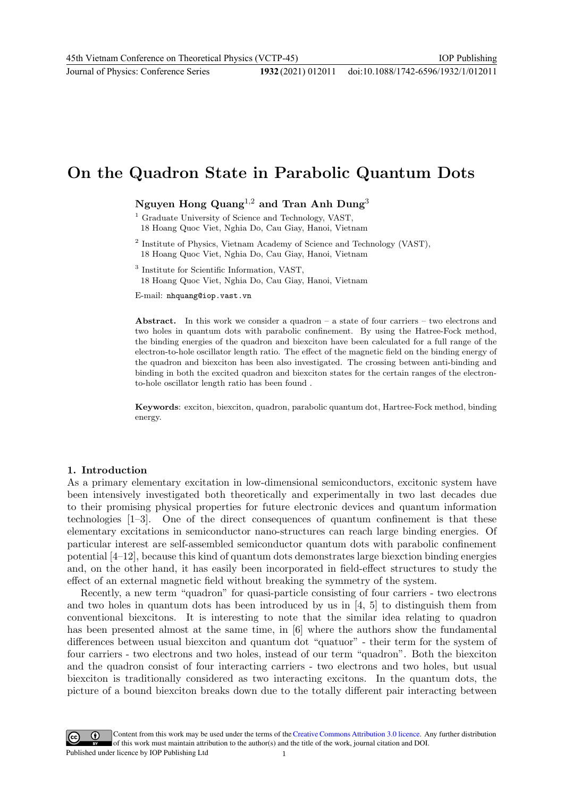Journal of Physics: Conference Series **1932** (2021) 012011

# On the Quadron State in Parabolic Quantum Dots

Nguyen Hong Quang<sup>1,2</sup> and Tran Anh Dung<sup>3</sup>

- <sup>2</sup> Institute of Physics, Vietnam Academy of Science and Technology (VAST), 18 Hoang Quoc Viet, Nghia Do, Cau Giay, Hanoi, Vietnam
- 3 Institute for Scientific Information, VAST, 18 Hoang Quoc Viet, Nghia Do, Cau Giay, Hanoi, Vietnam

E-mail: nhquang@iop.vast.vn

Abstract. In this work we consider a quadron – a state of four carriers – two electrons and two holes in quantum dots with parabolic confinement. By using the Hatree-Fock method, the binding energies of the quadron and biexciton have been calculated for a full range of the electron-to-hole oscillator length ratio. The effect of the magnetic field on the binding energy of the quadron and biexciton has been also investigated. The crossing between anti-binding and binding in both the excited quadron and biexciton states for the certain ranges of the electronto-hole oscillator length ratio has been found .

Keywords: exciton, biexciton, quadron, parabolic quantum dot, Hartree-Fock method, binding energy.

#### 1. Introduction

As a primary elementary excitation in low-dimensional semiconductors, excitonic system have been intensively investigated both theoretically and experimentally in two last decades due to their promising physical properties for future electronic devices and quantum information technologies [1–3]. One of the direct consequences of quantum confinement is that these elementary excitations in semiconductor nano-structures can reach large binding energies. Of particular interest are self-assembled semiconductor quantum dots with parabolic confinement potential [4–12], because this kind of quantum dots demonstrates large biexction binding energies and, on the other hand, it has easily been incorporated in field-effect structures to study the effect of an external magnetic field without breaking the symmetry of the system.

Recently, a new term "quadron" for quasi-particle consisting of four carriers - two electrons and two holes in quantum dots has been introduced by us in [4, 5] to distinguish them from conventional biexcitons. It is interesting to note that the similar idea relating to quadron has been presented almost at the same time, in [6] where the authors show the fundamental differences between usual biexciton and quantum dot "quatuor" - their term for the system of four carriers - two electrons and two holes, instead of our term "quadron". Both the biexciton and the quadron consist of four interacting carriers - two electrons and two holes, but usual biexciton is traditionally considered as two interacting excitons. In the quantum dots, the picture of a bound biexciton breaks down due to the totally different pair interacting between

Content from this work may be used under the terms of theCreative Commons Attribution 3.0 licence. Any further distribution of this work must maintain attribution to the author(s) and the title of the work, journal citation and DOI. Published under licence by IOP Publishing Ltd 1

<sup>&</sup>lt;sup>1</sup> Graduate University of Science and Technology, VAST, 18 Hoang Quoc Viet, Nghia Do, Cau Giay, Hanoi, Vietnam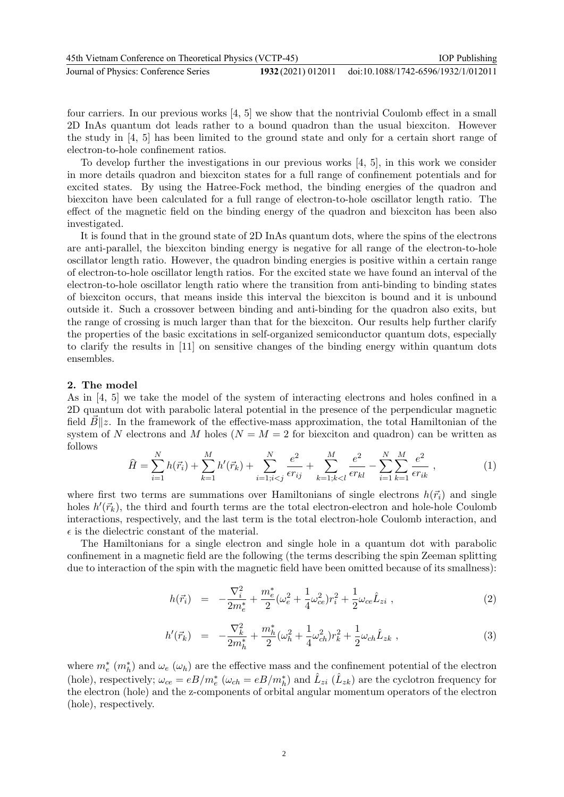| 45th Vietnam Conference on Theoretical Physics (VCTP-45) |  | <b>IOP</b> Publishing                                  |
|----------------------------------------------------------|--|--------------------------------------------------------|
| Journal of Physics: Conference Series                    |  | 1932 (2021) 012011 doi:10.1088/1742-6596/1932/1/012011 |

four carriers. In our previous works [4, 5] we show that the nontrivial Coulomb effect in a small 2D InAs quantum dot leads rather to a bound quadron than the usual biexciton. However the study in [4, 5] has been limited to the ground state and only for a certain short range of electron-to-hole confinement ratios.

To develop further the investigations in our previous works [4, 5], in this work we consider in more details quadron and biexciton states for a full range of confinement potentials and for excited states. By using the Hatree-Fock method, the binding energies of the quadron and biexciton have been calculated for a full range of electron-to-hole oscillator length ratio. The effect of the magnetic field on the binding energy of the quadron and biexciton has been also investigated.

It is found that in the ground state of 2D InAs quantum dots, where the spins of the electrons are anti-parallel, the biexciton binding energy is negative for all range of the electron-to-hole oscillator length ratio. However, the quadron binding energies is positive within a certain range of electron-to-hole oscillator length ratios. For the excited state we have found an interval of the electron-to-hole oscillator length ratio where the transition from anti-binding to binding states of biexciton occurs, that means inside this interval the biexciton is bound and it is unbound outside it. Such a crossover between binding and anti-binding for the quadron also exits, but the range of crossing is much larger than that for the biexciton. Our results help further clarify the properties of the basic excitations in self-organized semiconductor quantum dots, especially to clarify the results in [11] on sensitive changes of the binding energy within quantum dots ensembles.

#### 2. The model

As in [4, 5] we take the model of the system of interacting electrons and holes confined in a 2D quantum dot with parabolic lateral potential in the presence of the perpendicular magnetic field  $B||z$ . In the framework of the effective-mass approximation, the total Hamiltonian of the system of N electrons and M holes ( $N = M = 2$  for biexciton and quadron) can be written as follows

$$
\widehat{H} = \sum_{i=1}^{N} h(\vec{r}_i) + \sum_{k=1}^{M} h'(\vec{r}_k) + \sum_{i=1; i < j}^{N} \frac{e^2}{\epsilon r_{ij}} + \sum_{k=1; k < l}^{M} \frac{e^2}{\epsilon r_{kl}} - \sum_{i=1}^{N} \sum_{k=1}^{M} \frac{e^2}{\epsilon r_{ik}},\tag{1}
$$

where first two terms are summations over Hamiltonians of single electrons  $h(\vec{r}_i)$  and single holes  $h'(\vec{r}_k)$ , the third and fourth terms are the total electron-electron and hole-hole Coulomb interactions, respectively, and the last term is the total electron-hole Coulomb interaction, and  $\epsilon$  is the dielectric constant of the material.

The Hamiltonians for a single electron and single hole in a quantum dot with parabolic confinement in a magnetic field are the following (the terms describing the spin Zeeman splitting due to interaction of the spin with the magnetic field have been omitted because of its smallness):

$$
h(\vec{r}_i) = -\frac{\nabla_i^2}{2m_e^*} + \frac{m_e^*}{2} (\omega_e^2 + \frac{1}{4}\omega_{ce}^2)r_i^2 + \frac{1}{2}\omega_{ce}\hat{L}_{zi} ,
$$
\n(2)

$$
h'(\vec{r}_k) = -\frac{\nabla_k^2}{2m_h^*} + \frac{m_h^*}{2} (\omega_h^2 + \frac{1}{4}\omega_{ch}^2)r_k^2 + \frac{1}{2}\omega_{ch}\hat{L}_{zk} ,
$$
\n(3)

where  $m_e^*$   $(m_h^*)$  and  $\omega_e$   $(\omega_h)$  are the effective mass and the confinement potential of the electron (hole), respectively;  $\omega_{ce} = eB/m_e^*$  ( $\omega_{ch} = eB/m_h^*$ ) and  $\hat{L}_{zi}$  ( $\hat{L}_{zk}$ ) are the cyclotron frequency for the electron (hole) and the z-components of orbital angular momentum operators of the electron (hole), respectively.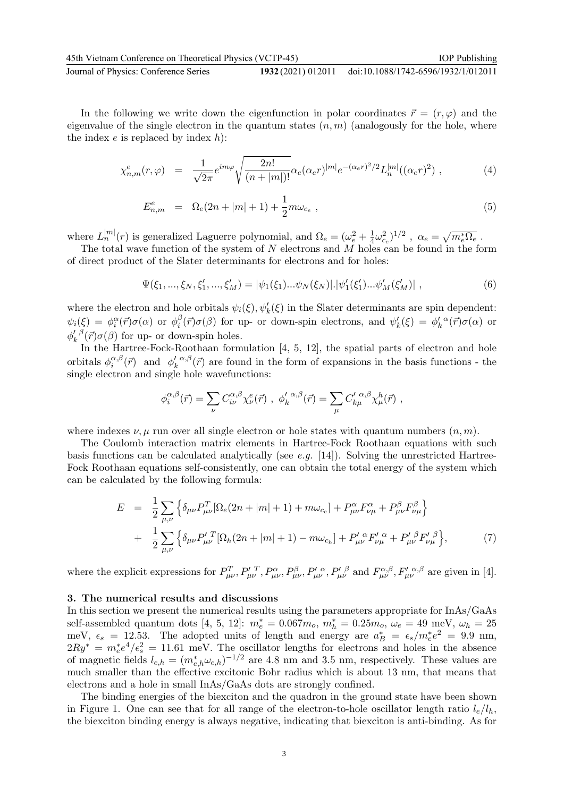| 45th Vietnam Conference on Theoretical Physics (VCTP-45) | <b>IOP</b> Publishing                                  |
|----------------------------------------------------------|--------------------------------------------------------|
| Journal of Physics: Conference Series                    | 1932 (2021) 012011 doi:10.1088/1742-6596/1932/1/012011 |

In the following we write down the eigenfunction in polar coordinates  $\vec{r} = (r, \varphi)$  and the eigenvalue of the single electron in the quantum states  $(n, m)$  (analogously for the hole, where the index  $e$  is replaced by index  $h$ :

$$
\chi_{n,m}^{e}(r,\varphi) = \frac{1}{\sqrt{2\pi}}e^{im\varphi}\sqrt{\frac{2n!}{(n+|m|)!}}\alpha_e(\alpha_e r)^{|m|}e^{-(\alpha_e r)^2/2}L_n^{|m|}((\alpha_e r)^2) , \qquad (4)
$$

$$
E_{n,m}^e = \Omega_e(2n + |m| + 1) + \frac{1}{2}m\omega_{c_e} \,, \tag{5}
$$

where  $L_n^{|m|}(r)$  is generalized Laguerre polynomial, and  $\Omega_e = (\omega_e^2 + \frac{1}{4})$  $(\frac{1}{4}\omega_{c_e}^2)^{1/2}$  ,  $\alpha_e = \sqrt{m_e^*\Omega_e}$  .

The total wave function of the system of  $N$  electrons and  $M$  holes can be found in the form of direct product of the Slater determinants for electrons and for holes:

$$
\Psi(\xi_1, ..., \xi_N, \xi'_1, ..., \xi'_M) = |\psi_1(\xi_1)...\psi_N(\xi_N)| \cdot |\psi'_1(\xi'_1)... \psi'_M(\xi'_M)|,
$$
\n(6)

where the electron and hole orbitals  $\psi_i(\xi), \psi'_k(\xi)$  in the Slater determinants are spin dependent:  $\psi_i(\xi) \,=\, \phi_i^\alpha(\vec{r}) \sigma(\alpha) \, \text{ or } \, \phi_i^\beta$  $\psi_i^{\beta}(\vec{r})\sigma(\beta)$  for up- or down-spin electrons, and  $\psi_k'(\xi) = \phi_k'^{\alpha}(\vec{r})\sigma(\alpha)$  or  $\phi'_k^{\;\;\beta}$  $\int_{k}^{\prime} \rho(\vec{r}) \sigma(\beta)$  for up- or down-spin holes.

In the Hartree-Fock-Roothaan formulation [4, 5, 12], the spatial parts of electron and hole orbitals  $\phi_i^{\alpha,\beta}$  $i_{i}^{\alpha,\beta}(\vec{r})$  and  $\phi'_{k}^{\alpha,\beta}$  $\int_{k}^{\alpha,\beta}(\vec{r})$  are found in the form of expansions in the basis functions - the single electron and single hole wavefunctions:

$$
\phi_i^{\alpha,\beta}(\vec{r}) = \sum_{\nu} C_{i\nu}^{\alpha,\beta} \chi_{\nu}^e(\vec{r}) \ , \ \phi_k^{\prime \alpha,\beta}(\vec{r}) = \sum_{\mu} C_{k\mu}^{\prime \ \alpha,\beta} \chi_{\mu}^h(\vec{r}) \ ,
$$

where indexes  $\nu, \mu$  run over all single electron or hole states with quantum numbers  $(n, m)$ .

The Coulomb interaction matrix elements in Hartree-Fock Roothaan equations with such basis functions can be calculated analytically (see  $e.g.$  [14]). Solving the unrestricted Hartree-Fock Roothaan equations self-consistently, one can obtain the total energy of the system which can be calculated by the following formula:

$$
E = \frac{1}{2} \sum_{\mu,\nu} \left\{ \delta_{\mu\nu} P_{\mu\nu}^T [\Omega_e (2n + |m| + 1) + m\omega_{c_e}] + P_{\mu\nu}^{\alpha} F_{\nu\mu}^{\alpha} + P_{\mu\nu}^{\beta} F_{\nu\mu}^{\beta} \right\} + \frac{1}{2} \sum_{\mu,\nu} \left\{ \delta_{\mu\nu} P_{\mu\nu}^{\prime \, T} [\Omega_h (2n + |m| + 1) - m\omega_{c_h}] + P_{\mu\nu}^{\prime \, \alpha} F_{\nu\mu}^{\prime \, \alpha} + P_{\mu\nu}^{\prime \, \beta} F_{\nu\mu}^{\prime \, \beta} \right\},
$$
(7)

where the explicit expressions for  $P^T_{\mu\nu}$ ,  $P^{\prime T}_{\mu\nu}$ ,  $P^{\alpha}_{\mu\nu}$ ,  $P^{\beta}_{\mu\nu}$ ,  $P^{\prime \alpha}_{\mu\nu}$ ,  $P^{\prime \beta}_{\mu\nu}$  and  $F^{\alpha,\beta}_{\mu\nu}$ ,  $F^{\prime \alpha,\beta}_{\mu\nu}$  are given in [4].

### 3. The numerical results and discussions

In this section we present the numerical results using the parameters appropriate for InAs/GaAs self-assembled quantum dots [4, 5, 12]:  $m_e^* = 0.067m_o$ ,  $m_h^* = 0.25m_o$ ,  $\omega_e = 49$  meV,  $\omega_h = 25$ meV,  $\epsilon_s = 12.53$ . The adopted units of length and energy are  $a_B^* = \epsilon_s/m_e^*e^2 = 9.9$  nm,  $2Ry^* = m_e^*e^4/\epsilon_s^2 = 11.61$  meV. The oscillator lengths for electrons and holes in the absence of magnetic fields  $l_{e,h} = (m_{e,h}^* \omega_{e,h})^{-1/2}$  are 4.8 nm and 3.5 nm, respectively. These values are much smaller than the effective excitonic Bohr radius which is about 13 nm, that means that electrons and a hole in small InAs/GaAs dots are strongly confined.

The binding energies of the biexciton and the quadron in the ground state have been shown in Figure 1. One can see that for all range of the electron-to-hole oscillator length ratio  $l_e/l_h$ , the biexciton binding energy is always negative, indicating that biexciton is anti-binding. As for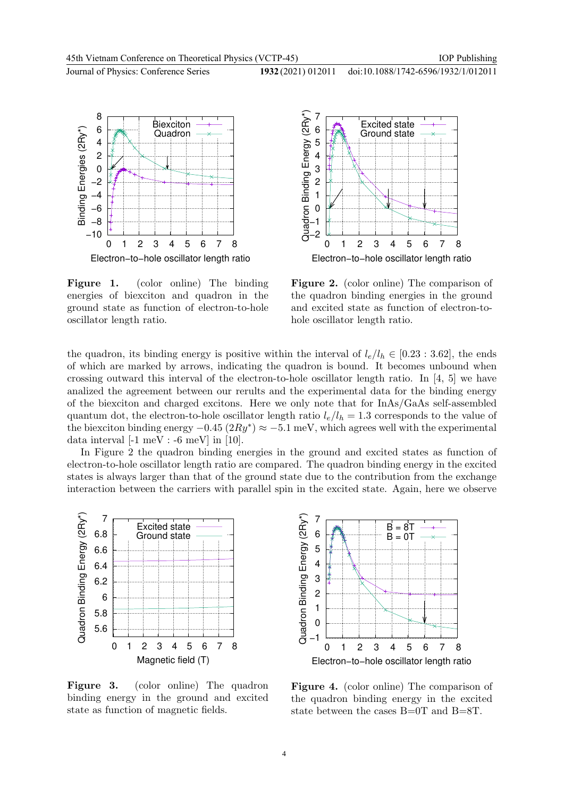IOP Publishing

doi:10.1088/1742-6596/1932/1/012011

Journal of Physics: Conference Series **1932** (2021) 012011







Figure 2. (color online) The comparison of the quadron binding energies in the ground and excited state as function of electron-tohole oscillator length ratio.

the quadron, its binding energy is positive within the interval of  $l_e/l_h \in [0.23 : 3.62]$ , the ends of which are marked by arrows, indicating the quadron is bound. It becomes unbound when crossing outward this interval of the electron-to-hole oscillator length ratio. In [4, 5] we have analized the agreement between our rerults and the experimental data for the binding energy of the biexciton and charged excitons. Here we only note that for InAs/GaAs self-assembled quantum dot, the electron-to-hole oscillator length ratio  $l_e/l_h = 1.3$  corresponds to the value of the biexciton binding energy  $-0.45 (2Ry^*) \approx -5.1 \text{ meV}$ , which agrees well with the experimental data interval  $[-1 \text{ meV} : -6 \text{ meV}]$  in  $[10]$ .

In Figure 2 the quadron binding energies in the ground and excited states as function of electron-to-hole oscillator length ratio are compared. The quadron binding energy in the excited states is always larger than that of the ground state due to the contribution from the exchange interaction between the carriers with parallel spin in the excited state. Again, here we observe



Figure 3. (color online) The quadron binding energy in the ground and excited state as function of magnetic fields.



Figure 4. (color online) The comparison of the quadron binding energy in the excited state between the cases B=0T and B=8T.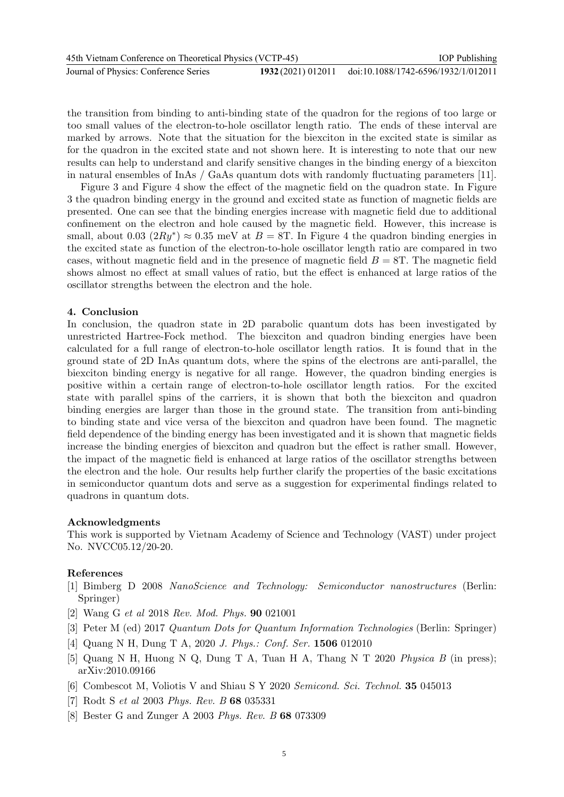| 45th Vietnam Conference on Theoretical Physics (VCTP-45) |  | <b>IOP</b> Publishing                                  |
|----------------------------------------------------------|--|--------------------------------------------------------|
| Journal of Physics: Conference Series                    |  | 1932 (2021) 012011 doi:10.1088/1742-6596/1932/1/012011 |

the transition from binding to anti-binding state of the quadron for the regions of too large or too small values of the electron-to-hole oscillator length ratio. The ends of these interval are marked by arrows. Note that the situation for the biexciton in the excited state is similar as for the quadron in the excited state and not shown here. It is interesting to note that our new results can help to understand and clarify sensitive changes in the binding energy of a biexciton in natural ensembles of InAs / GaAs quantum dots with randomly fluctuating parameters [11].

Figure 3 and Figure 4 show the effect of the magnetic field on the quadron state. In Figure 3 the quadron binding energy in the ground and excited state as function of magnetic fields are presented. One can see that the binding energies increase with magnetic field due to additional confinement on the electron and hole caused by the magnetic field. However, this increase is small, about 0.03  $(2Ry^*) \approx 0.35$  meV at  $B = 8T$ . In Figure 4 the quadron binding energies in the excited state as function of the electron-to-hole oscillator length ratio are compared in two cases, without magnetic field and in the presence of magnetic field  $B = 8T$ . The magnetic field shows almost no effect at small values of ratio, but the effect is enhanced at large ratios of the oscillator strengths between the electron and the hole.

### 4. Conclusion

In conclusion, the quadron state in 2D parabolic quantum dots has been investigated by unrestricted Hartree-Fock method. The biexciton and quadron binding energies have been calculated for a full range of electron-to-hole oscillator length ratios. It is found that in the ground state of 2D InAs quantum dots, where the spins of the electrons are anti-parallel, the biexciton binding energy is negative for all range. However, the quadron binding energies is positive within a certain range of electron-to-hole oscillator length ratios. For the excited state with parallel spins of the carriers, it is shown that both the biexciton and quadron binding energies are larger than those in the ground state. The transition from anti-binding to binding state and vice versa of the biexciton and quadron have been found. The magnetic field dependence of the binding energy has been investigated and it is shown that magnetic fields increase the binding energies of biexciton and quadron but the effect is rather small. However, the impact of the magnetic field is enhanced at large ratios of the oscillator strengths between the electron and the hole. Our results help further clarify the properties of the basic excitations in semiconductor quantum dots and serve as a suggestion for experimental findings related to quadrons in quantum dots.

#### Acknowledgments

This work is supported by Vietnam Academy of Science and Technology (VAST) under project No. NVCC05.12/20-20.

#### References

- [1] Bimberg D 2008 NanoScience and Technology: Semiconductor nanostructures (Berlin: Springer)
- [2] Wang G et al 2018 Rev. Mod. Phys. 90 021001
- [3] Peter M (ed) 2017 Quantum Dots for Quantum Information Technologies (Berlin: Springer)
- [4] Quang N H, Dung T A, 2020 J. Phys.: Conf. Ser. 1506 012010
- [5] Quang N H, Huong N Q, Dung T A, Tuan H A, Thang N T 2020 Physica B (in press); arXiv:2010.09166
- [6] Combescot M, Voliotis V and Shiau S Y 2020 Semicond. Sci. Technol. 35 045013
- [7] Rodt S et al 2003 Phys. Rev. B 68 035331
- [8] Bester G and Zunger A 2003 Phys. Rev. B 68 073309